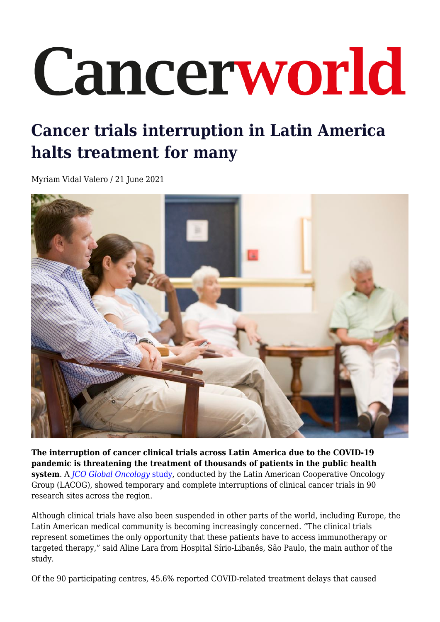## Cancerworld

## **Cancer trials interruption in Latin America halts treatment for many**

Myriam Vidal Valero / 21 June 2021



**The interruption of cancer clinical trials across Latin America due to the COVID-19 pandemic is threatening the treatment of thousands of patients in the public health system**. A *[JCO Global Oncology](https://ascopubs.org/doi/full/10.1200/GO.20.00663)* [study](https://ascopubs.org/doi/full/10.1200/GO.20.00663), conducted by the Latin American Cooperative Oncology Group (LACOG), showed temporary and complete interruptions of clinical cancer trials in 90 research sites across the region.

Although clinical trials have also been suspended in other parts of the world, including Europe, the Latin American medical community is becoming increasingly concerned. "The clinical trials represent sometimes the only opportunity that these patients have to access immunotherapy or targeted therapy," said Aline Lara from Hospital Sírio-Libanês, São Paulo, the main author of the study.

Of the 90 participating centres, 45.6% reported COVID-related treatment delays that caused